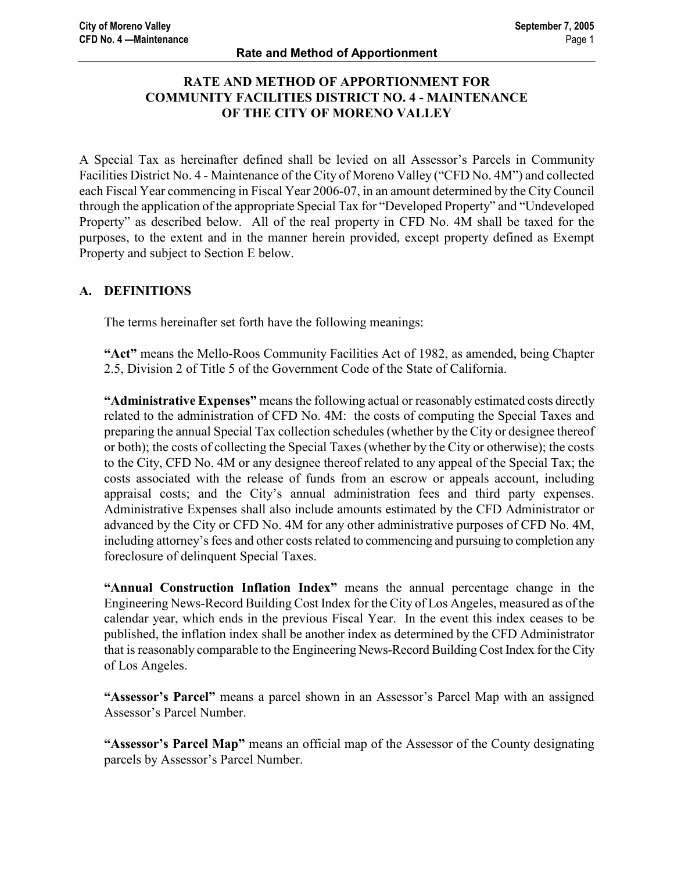# RATE AND METHOD OF APPORTIONMENT FOR COMMUNITY FACILITIES DISTRICT NO. 4 - MAINTENANCE OF THE CITY OF MORENO VALLEY

A Special Tax as hereinafter defined shall be levied on all Assessor's Parcels in Community Facilities District No. 4 - Maintenance of the City of Moreno Valley ("CFD No. 4M") and collected each Fiscal Year commencing in Fiscal Year 2006-07, in an amount determined by the City Council through the application of the appropriate Special Tax for "Developed Property" and "Undeveloped Property" as described below. All of the real property in CFD No. 4M shall be taxed for the purposes, to the extent and in the manner herein provided, except property defined as Exempt Property and subject to Section E below.

# A. DEFINITIONS

The terms hereinafter set forth have the following meanings:

"Act" means the Mello-Roos Community Facilities Act of 1982, as amended, being Chapter 2.5, Division 2 of Title 5 of the Government Code of the State of California.

"Administrative Expenses" means the following actual or reasonably estimated costs directly related to the administration of CFD No. 4M: the costs of computing the Special Taxes and preparing the annual Special Tax collection schedules (whether by the City or designee thereof or both); the costs of collecting the Special Taxes (whether by the City or otherwise); the costs to the City, CFD No. 4M or any designee thereof related to any appeal of the Special Tax; the costs associated with the release of funds from an escrow or appeals account, including appraisal costs; and the City's annual administration fees and third party expenses. Administrative Expenses shall also include amounts estimated by the CFD Administrator or advanced by the City or CFD No. 4M for any other administrative purposes of CFD No. 4M, including attorney's fees and other costs related to commencing and pursuing to completion any foreclosure of delinquent Special Taxes.

"Annual Construction Inflation Index" means the annual percentage change in the Engineering News-Record Building Cost Index for the City of Los Angeles, measured as of the calendar year, which ends in the previous Fiscal Year. In the event this index ceases to be published, the inflation index shall be another index as determined by the CFD Administrator that is reasonably comparable to the Engineering News-Record Building Cost Index for the City of Los Angeles.

"Assessor's Parcel" means a parcel shown in an Assessor's Parcel Map with an assigned Assessor's Parcel Number.

"Assessor's Parcel Map" means an official map of the Assessor of the County designating parcels by Assessor's Parcel Number.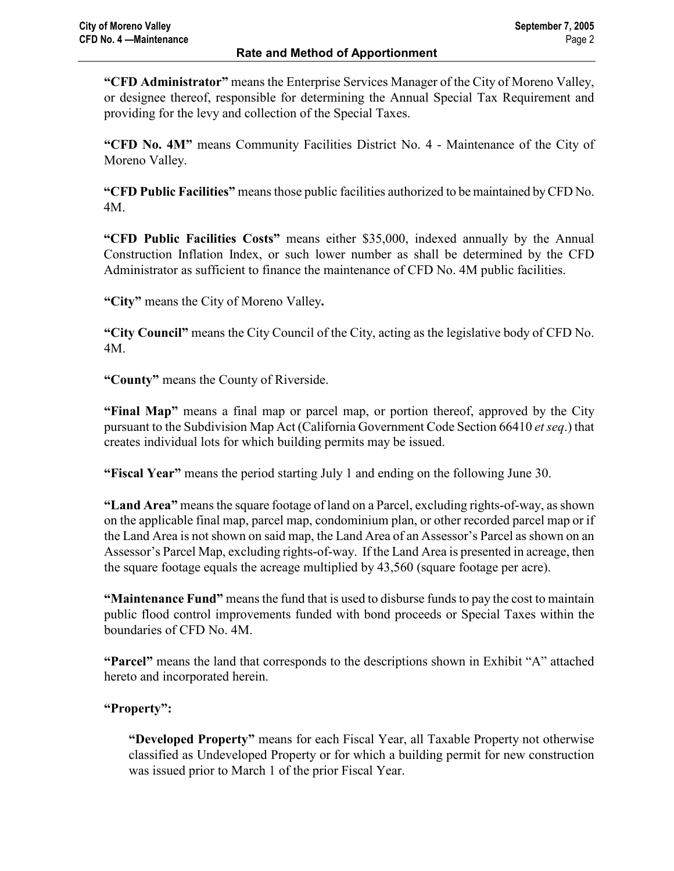"CFD Administrator" means the Enterprise Services Manager of the City of Moreno Valley, or designee thereof, responsible for determining the Annual Special Tax Requirement and providing for the levy and collection of the Special Taxes.

"CFD No. 4M" means Community Facilities District No. 4 - Maintenance of the City of Moreno Valley.

"CFD Public Facilities" means those public facilities authorized to be maintained by CFD No. 4M.

"CFD Public Facilities Costs" means either \$35,000, indexed annually by the Annual Construction Inflation Index, or such lower number as shall be determined by the CFD Administrator as sufficient to finance the maintenance of CFD No. 4M public facilities.

"City" means the City of Moreno Valley.

"City Council" means the City Council of the City, acting as the legislative body of CFD No. 4M.

"County" means the County of Riverside.

"Final Map" means a final map or parcel map, or portion thereof, approved by the City pursuant to the Subdivision Map Act (California Government Code Section 66410 et seq.) that creates individual lots for which building permits may be issued.

"Fiscal Year" means the period starting July 1 and ending on the following June 30.

"Land Area" means the square footage of land on a Parcel, excluding rights-of-way, as shown on the applicable final map, parcel map, condominium plan, or other recorded parcel map or if the Land Area is not shown on said map, the Land Area of an Assessor's Parcel as shown on an Assessor's Parcel Map, excluding rights-of-way. If the Land Area is presented in acreage, then the square footage equals the acreage multiplied by 43,560 (square footage per acre).

"Maintenance Fund" means the fund that is used to disburse funds to pay the cost to maintain public flood control improvements funded with bond proceeds or Special Taxes within the boundaries of CFD No. 4M.

"Parcel" means the land that corresponds to the descriptions shown in Exhibit "A" attached hereto and incorporated herein.

# "Property":

"Developed Property" means for each Fiscal Year, all Taxable Property not otherwise classified as Undeveloped Property or for which a building permit for new construction was issued prior to March 1 of the prior Fiscal Year.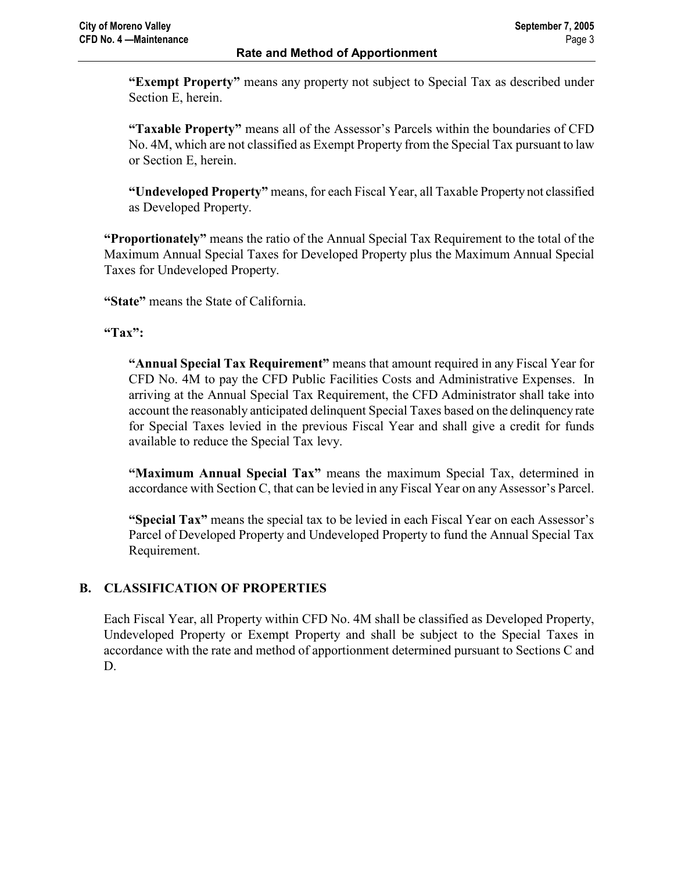"Exempt Property" means any property not subject to Special Tax as described under Section E, herein.

"Taxable Property" means all of the Assessor's Parcels within the boundaries of CFD No. 4M, which are not classified as Exempt Property from the Special Tax pursuant to law or Section E, herein.

"Undeveloped Property" means, for each Fiscal Year, all Taxable Property not classified as Developed Property.

"Proportionately" means the ratio of the Annual Special Tax Requirement to the total of the Maximum Annual Special Taxes for Developed Property plus the Maximum Annual Special Taxes for Undeveloped Property.

"State" means the State of California.

### "Tax":

"Annual Special Tax Requirement" means that amount required in any Fiscal Year for CFD No. 4M to pay the CFD Public Facilities Costs and Administrative Expenses. In arriving at the Annual Special Tax Requirement, the CFD Administrator shall take into account the reasonably anticipated delinquent Special Taxes based on the delinquency rate for Special Taxes levied in the previous Fiscal Year and shall give a credit for funds available to reduce the Special Tax levy.

"Maximum Annual Special Tax" means the maximum Special Tax, determined in accordance with Section C, that can be levied in any Fiscal Year on any Assessor's Parcel.

"Special Tax" means the special tax to be levied in each Fiscal Year on each Assessor's Parcel of Developed Property and Undeveloped Property to fund the Annual Special Tax Requirement.

### B. CLASSIFICATION OF PROPERTIES

Each Fiscal Year, all Property within CFD No. 4M shall be classified as Developed Property, Undeveloped Property or Exempt Property and shall be subject to the Special Taxes in accordance with the rate and method of apportionment determined pursuant to Sections C and D.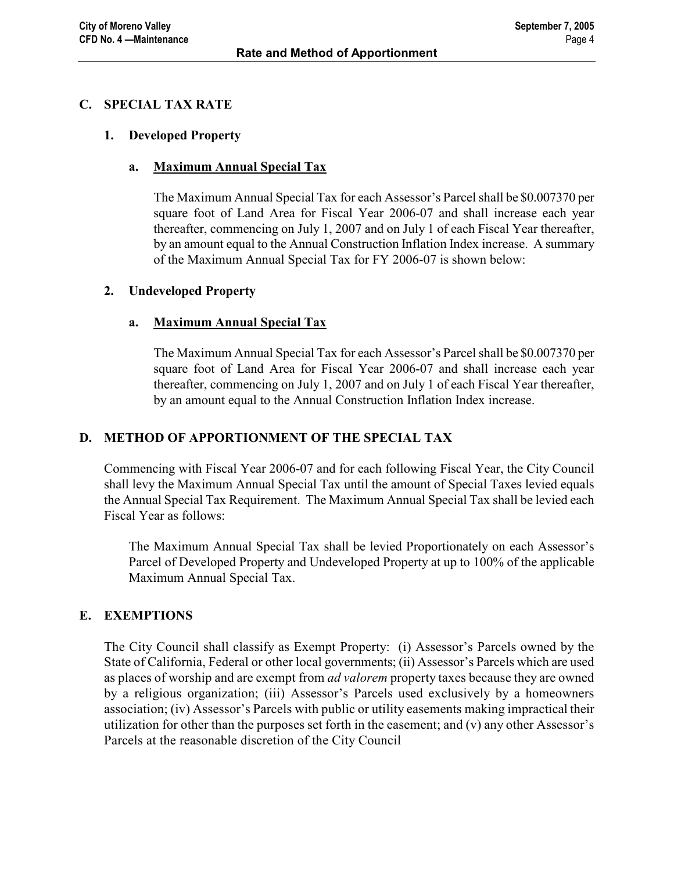### C. SPECIAL TAX RATE

#### 1. Developed Property

### a. Maximum Annual Special Tax

The Maximum Annual Special Tax for each Assessor's Parcel shall be \$0.007370 per square foot of Land Area for Fiscal Year 2006-07 and shall increase each year thereafter, commencing on July 1, 2007 and on July 1 of each Fiscal Year thereafter, by an amount equal to the Annual Construction Inflation Index increase. A summary of the Maximum Annual Special Tax for FY 2006-07 is shown below:

#### 2. Undeveloped Property

### a. Maximum Annual Special Tax

The Maximum Annual Special Tax for each Assessor's Parcel shall be \$0.007370 per square foot of Land Area for Fiscal Year 2006-07 and shall increase each year thereafter, commencing on July 1, 2007 and on July 1 of each Fiscal Year thereafter, by an amount equal to the Annual Construction Inflation Index increase.

### D. METHOD OF APPORTIONMENT OF THE SPECIAL TAX

Commencing with Fiscal Year 2006-07 and for each following Fiscal Year, the City Council shall levy the Maximum Annual Special Tax until the amount of Special Taxes levied equals the Annual Special Tax Requirement. The Maximum Annual Special Tax shall be levied each Fiscal Year as follows:

The Maximum Annual Special Tax shall be levied Proportionately on each Assessor's Parcel of Developed Property and Undeveloped Property at up to 100% of the applicable Maximum Annual Special Tax.

### E. EXEMPTIONS

The City Council shall classify as Exempt Property: (i) Assessor's Parcels owned by the State of California, Federal or other local governments; (ii) Assessor's Parcels which are used as places of worship and are exempt from *ad valorem* property taxes because they are owned by a religious organization; (iii) Assessor's Parcels used exclusively by a homeowners association; (iv) Assessor's Parcels with public or utility easements making impractical their utilization for other than the purposes set forth in the easement; and (v) any other Assessor's Parcels at the reasonable discretion of the City Council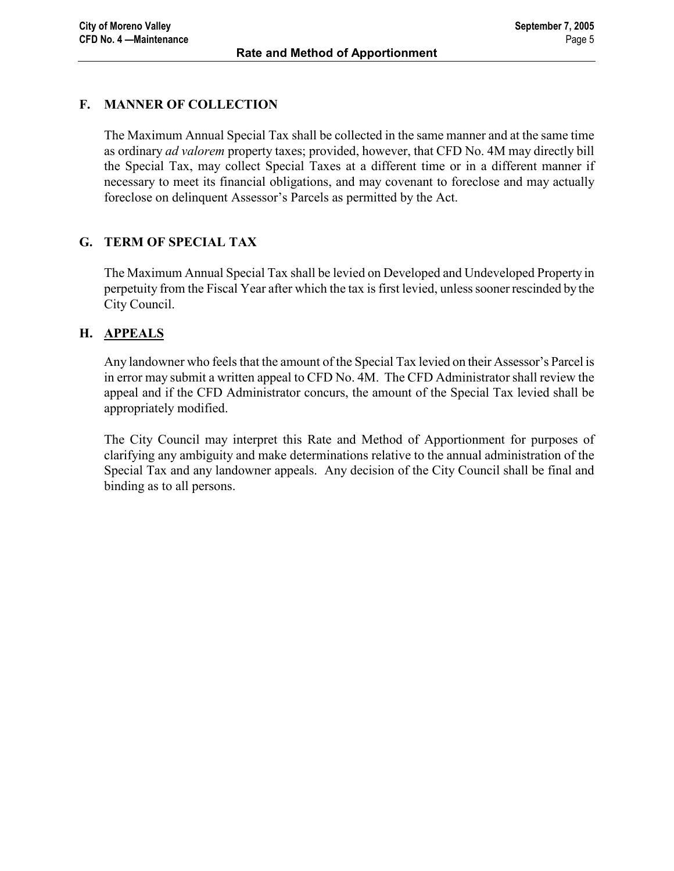### F. MANNER OF COLLECTION

The Maximum Annual Special Tax shall be collected in the same manner and at the same time as ordinary ad valorem property taxes; provided, however, that CFD No. 4M may directly bill the Special Tax, may collect Special Taxes at a different time or in a different manner if necessary to meet its financial obligations, and may covenant to foreclose and may actually foreclose on delinquent Assessor's Parcels as permitted by the Act.

# G. TERM OF SPECIAL TAX

The Maximum Annual Special Tax shall be levied on Developed and Undeveloped Property in perpetuity from the Fiscal Year after which the tax is first levied, unless sooner rescinded by the City Council.

### H. APPEALS

Any landowner who feels that the amount of the Special Tax levied on their Assessor's Parcel is in error may submit a written appeal to CFD No. 4M. The CFD Administrator shall review the appeal and if the CFD Administrator concurs, the amount of the Special Tax levied shall be appropriately modified.

The City Council may interpret this Rate and Method of Apportionment for purposes of clarifying any ambiguity and make determinations relative to the annual administration of the Special Tax and any landowner appeals. Any decision of the City Council shall be final and binding as to all persons.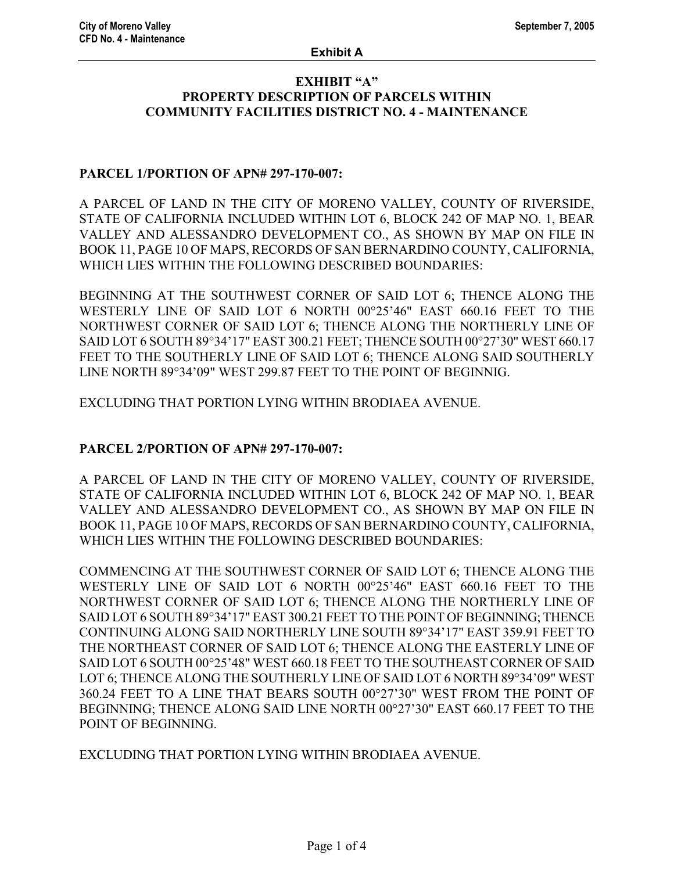#### EXHIBIT "A" PROPERTY DESCRIPTION OF PARCELS WITHIN COMMUNITY FACILITIES DISTRICT NO. 4 - MAINTENANCE

### PARCEL 1/PORTION OF APN# 297-170-007:

A PARCEL OF LAND IN THE CITY OF MORENO VALLEY, COUNTY OF RIVERSIDE, STATE OF CALIFORNIA INCLUDED WITHIN LOT 6, BLOCK 242 OF MAP NO. 1, BEAR VALLEY AND ALESSANDRO DEVELOPMENT CO., AS SHOWN BY MAP ON FILE IN BOOK 11, PAGE 10 OF MAPS, RECORDS OF SAN BERNARDINO COUNTY, CALIFORNIA, WHICH LIES WITHIN THE FOLLOWING DESCRIBED BOUNDARIES:

BEGINNING AT THE SOUTHWEST CORNER OF SAID LOT 6; THENCE ALONG THE WESTERLY LINE OF SAID LOT 6 NORTH 00°25'46" EAST 660.16 FEET TO THE NORTHWEST CORNER OF SAID LOT 6; THENCE ALONG THE NORTHERLY LINE OF SAID LOT 6 SOUTH 89°34'17" EAST 300.21 FEET; THENCE SOUTH 00°27'30" WEST 660.17 FEET TO THE SOUTHERLY LINE OF SAID LOT 6; THENCE ALONG SAID SOUTHERLY LINE NORTH 89°34'09" WEST 299.87 FEET TO THE POINT OF BEGINNIG.

EXCLUDING THAT PORTION LYING WITHIN BRODIAEA AVENUE.

### PARCEL 2/PORTION OF APN# 297-170-007:

A PARCEL OF LAND IN THE CITY OF MORENO VALLEY, COUNTY OF RIVERSIDE, STATE OF CALIFORNIA INCLUDED WITHIN LOT 6, BLOCK 242 OF MAP NO. 1, BEAR VALLEY AND ALESSANDRO DEVELOPMENT CO., AS SHOWN BY MAP ON FILE IN BOOK 11, PAGE 10 OF MAPS, RECORDS OF SAN BERNARDINO COUNTY, CALIFORNIA, WHICH LIES WITHIN THE FOLLOWING DESCRIBED BOUNDARIES:

COMMENCING AT THE SOUTHWEST CORNER OF SAID LOT 6; THENCE ALONG THE WESTERLY LINE OF SAID LOT 6 NORTH 00°25'46" EAST 660.16 FEET TO THE NORTHWEST CORNER OF SAID LOT 6; THENCE ALONG THE NORTHERLY LINE OF SAID LOT 6 SOUTH 89°34'17" EAST 300.21 FEET TO THE POINT OF BEGINNING; THENCE CONTINUING ALONG SAID NORTHERLY LINE SOUTH 89°34'17" EAST 359.91 FEET TO THE NORTHEAST CORNER OF SAID LOT 6; THENCE ALONG THE EASTERLY LINE OF SAID LOT 6 SOUTH 00°25'48" WEST 660.18 FEET TO THE SOUTHEAST CORNER OF SAID LOT 6; THENCE ALONG THE SOUTHERLY LINE OF SAID LOT 6 NORTH 89°34'09" WEST 360.24 FEET TO A LINE THAT BEARS SOUTH 00°27'30" WEST FROM THE POINT OF BEGINNING; THENCE ALONG SAID LINE NORTH 00°27'30" EAST 660.17 FEET TO THE POINT OF BEGINNING.

EXCLUDING THAT PORTION LYING WITHIN BRODIAEA AVENUE.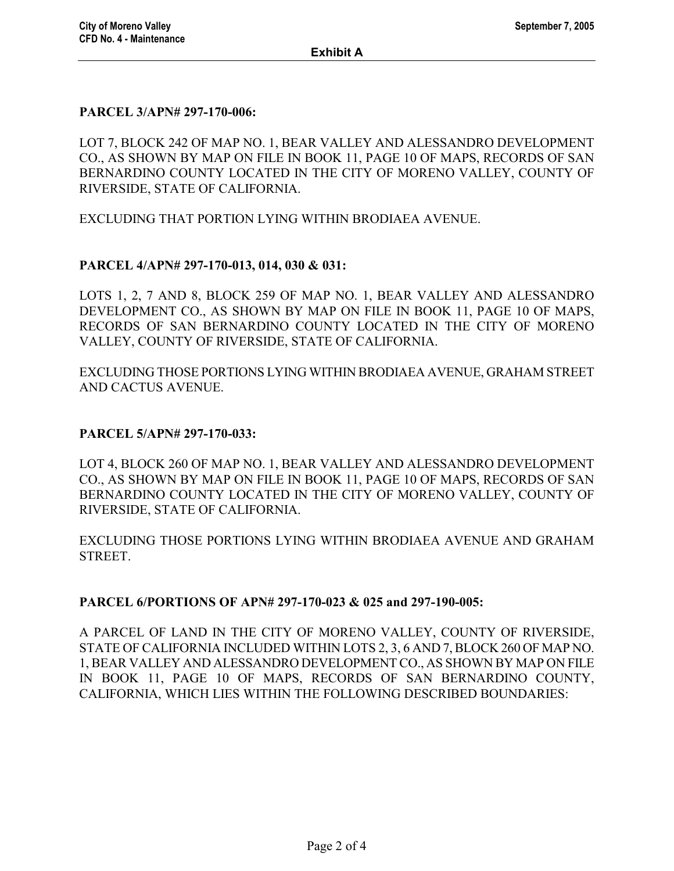#### PARCEL 3/APN# 297-170-006:

LOT 7, BLOCK 242 OF MAP NO. 1, BEAR VALLEY AND ALESSANDRO DEVELOPMENT CO., AS SHOWN BY MAP ON FILE IN BOOK 11, PAGE 10 OF MAPS, RECORDS OF SAN BERNARDINO COUNTY LOCATED IN THE CITY OF MORENO VALLEY, COUNTY OF RIVERSIDE, STATE OF CALIFORNIA.

EXCLUDING THAT PORTION LYING WITHIN BRODIAEA AVENUE.

### PARCEL 4/APN# 297-170-013, 014, 030 & 031:

LOTS 1, 2, 7 AND 8, BLOCK 259 OF MAP NO. 1, BEAR VALLEY AND ALESSANDRO DEVELOPMENT CO., AS SHOWN BY MAP ON FILE IN BOOK 11, PAGE 10 OF MAPS, RECORDS OF SAN BERNARDINO COUNTY LOCATED IN THE CITY OF MORENO VALLEY, COUNTY OF RIVERSIDE, STATE OF CALIFORNIA.

EXCLUDING THOSE PORTIONS LYING WITHIN BRODIAEA AVENUE, GRAHAM STREET AND CACTUS AVENUE.

#### PARCEL 5/APN# 297-170-033:

LOT 4, BLOCK 260 OF MAP NO. 1, BEAR VALLEY AND ALESSANDRO DEVELOPMENT CO., AS SHOWN BY MAP ON FILE IN BOOK 11, PAGE 10 OF MAPS, RECORDS OF SAN BERNARDINO COUNTY LOCATED IN THE CITY OF MORENO VALLEY, COUNTY OF RIVERSIDE, STATE OF CALIFORNIA.

EXCLUDING THOSE PORTIONS LYING WITHIN BRODIAEA AVENUE AND GRAHAM STREET.

#### PARCEL 6/PORTIONS OF APN# 297-170-023 & 025 and 297-190-005:

A PARCEL OF LAND IN THE CITY OF MORENO VALLEY, COUNTY OF RIVERSIDE, STATE OF CALIFORNIA INCLUDED WITHIN LOTS 2, 3, 6 AND 7, BLOCK 260 OF MAP NO. 1, BEAR VALLEY AND ALESSANDRO DEVELOPMENT CO., AS SHOWN BY MAP ON FILE IN BOOK 11, PAGE 10 OF MAPS, RECORDS OF SAN BERNARDINO COUNTY, CALIFORNIA, WHICH LIES WITHIN THE FOLLOWING DESCRIBED BOUNDARIES: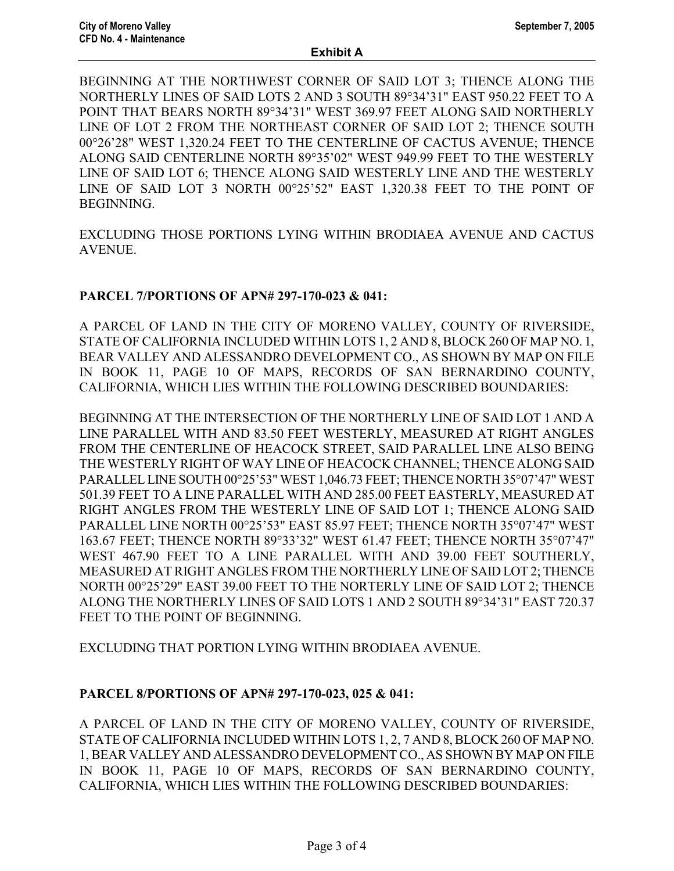BEGINNING AT THE NORTHWEST CORNER OF SAID LOT 3; THENCE ALONG THE NORTHERLY LINES OF SAID LOTS 2 AND 3 SOUTH 89°34'31" EAST 950.22 FEET TO A POINT THAT BEARS NORTH 89°34'31" WEST 369.97 FEET ALONG SAID NORTHERLY LINE OF LOT 2 FROM THE NORTHEAST CORNER OF SAID LOT 2; THENCE SOUTH 00°26'28" WEST 1,320.24 FEET TO THE CENTERLINE OF CACTUS AVENUE; THENCE ALONG SAID CENTERLINE NORTH 89°35'02" WEST 949.99 FEET TO THE WESTERLY LINE OF SAID LOT 6; THENCE ALONG SAID WESTERLY LINE AND THE WESTERLY LINE OF SAID LOT 3 NORTH 00°25'52" EAST 1,320.38 FEET TO THE POINT OF **BEGINNING** 

EXCLUDING THOSE PORTIONS LYING WITHIN BRODIAEA AVENUE AND CACTUS AVENUE.

### PARCEL 7/PORTIONS OF APN# 297-170-023 & 041:

A PARCEL OF LAND IN THE CITY OF MORENO VALLEY, COUNTY OF RIVERSIDE, STATE OF CALIFORNIA INCLUDED WITHIN LOTS 1, 2 AND 8, BLOCK 260 OF MAP NO. 1, BEAR VALLEY AND ALESSANDRO DEVELOPMENT CO., AS SHOWN BY MAP ON FILE IN BOOK 11, PAGE 10 OF MAPS, RECORDS OF SAN BERNARDINO COUNTY, CALIFORNIA, WHICH LIES WITHIN THE FOLLOWING DESCRIBED BOUNDARIES:

BEGINNING AT THE INTERSECTION OF THE NORTHERLY LINE OF SAID LOT 1 AND A LINE PARALLEL WITH AND 83.50 FEET WESTERLY, MEASURED AT RIGHT ANGLES FROM THE CENTERLINE OF HEACOCK STREET, SAID PARALLEL LINE ALSO BEING THE WESTERLY RIGHT OF WAY LINE OF HEACOCK CHANNEL; THENCE ALONG SAID PARALLEL LINE SOUTH 00°25'53" WEST 1,046.73 FEET; THENCE NORTH 35°07'47" WEST 501.39 FEET TO A LINE PARALLEL WITH AND 285.00 FEET EASTERLY, MEASURED AT RIGHT ANGLES FROM THE WESTERLY LINE OF SAID LOT 1; THENCE ALONG SAID PARALLEL LINE NORTH 00°25'53" EAST 85.97 FEET; THENCE NORTH 35°07'47" WEST 163.67 FEET; THENCE NORTH 89°33'32" WEST 61.47 FEET; THENCE NORTH 35°07'47" WEST 467.90 FEET TO A LINE PARALLEL WITH AND 39.00 FEET SOUTHERLY, MEASURED AT RIGHT ANGLES FROM THE NORTHERLY LINE OF SAID LOT 2; THENCE NORTH 00°25'29" EAST 39.00 FEET TO THE NORTERLY LINE OF SAID LOT 2; THENCE ALONG THE NORTHERLY LINES OF SAID LOTS 1 AND 2 SOUTH 89°34'31" EAST 720.37 FEET TO THE POINT OF BEGINNING.

EXCLUDING THAT PORTION LYING WITHIN BRODIAEA AVENUE.

#### PARCEL 8/PORTIONS OF APN# 297-170-023, 025 & 041:

A PARCEL OF LAND IN THE CITY OF MORENO VALLEY, COUNTY OF RIVERSIDE, STATE OF CALIFORNIA INCLUDED WITHIN LOTS 1, 2, 7 AND 8, BLOCK 260 OF MAP NO. 1, BEAR VALLEY AND ALESSANDRO DEVELOPMENT CO., AS SHOWN BY MAP ON FILE IN BOOK 11, PAGE 10 OF MAPS, RECORDS OF SAN BERNARDINO COUNTY, CALIFORNIA, WHICH LIES WITHIN THE FOLLOWING DESCRIBED BOUNDARIES: